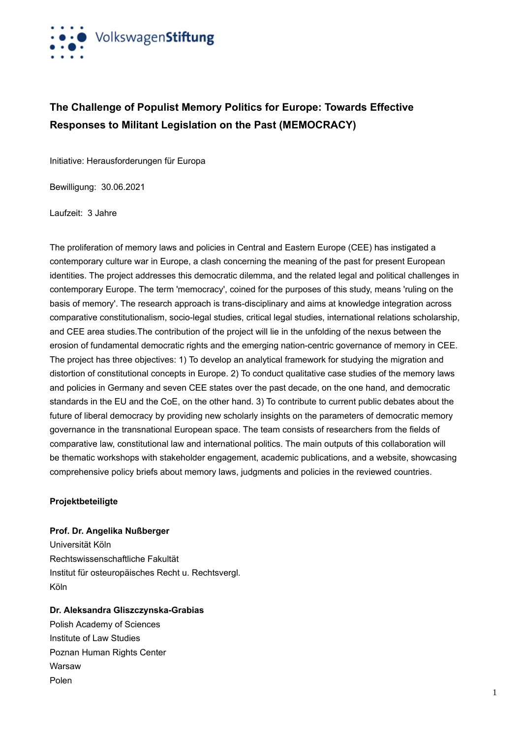

## **The Challenge of Populist Memory Politics for Europe: Towards Effective Responses to Militant Legislation on the Past (MEMOCRACY)**

Initiative: Herausforderungen für Europa

Bewilligung: 30.06.2021

Laufzeit: 3 Jahre

The proliferation of memory laws and policies in Central and Eastern Europe (CEE) has instigated a contemporary culture war in Europe, a clash concerning the meaning of the past for present European identities. The project addresses this democratic dilemma, and the related legal and political challenges in contemporary Europe. The term 'memocracy', coined for the purposes of this study, means 'ruling on the basis of memory'. The research approach is trans-disciplinary and aims at knowledge integration across comparative constitutionalism, socio-legal studies, critical legal studies, international relations scholarship, and CEE area studies.The contribution of the project will lie in the unfolding of the nexus between the erosion of fundamental democratic rights and the emerging nation-centric governance of memory in CEE. The project has three objectives: 1) To develop an analytical framework for studying the migration and distortion of constitutional concepts in Europe. 2) To conduct qualitative case studies of the memory laws and policies in Germany and seven CEE states over the past decade, on the one hand, and democratic standards in the EU and the CoE, on the other hand. 3) To contribute to current public debates about the future of liberal democracy by providing new scholarly insights on the parameters of democratic memory governance in the transnational European space. The team consists of researchers from the fields of comparative law, constitutional law and international politics. The main outputs of this collaboration will be thematic workshops with stakeholder engagement, academic publications, and a website, showcasing comprehensive policy briefs about memory laws, judgments and policies in the reviewed countries.

## **Projektbeteiligte**

**Prof. Dr. Angelika Nußberger**

Universität Köln Rechtswissenschaftliche Fakultät Institut für osteuropäisches Recht u. Rechtsvergl. Köln

**Dr. Aleksandra Gliszczynska-Grabias**

Polish Academy of Sciences Institute of Law Studies Poznan Human Rights Center Warsaw Polen